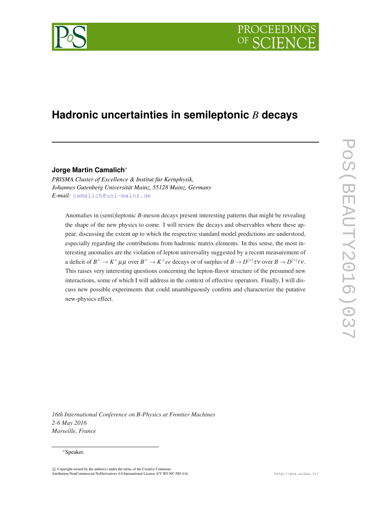

# **Hadronic uncertainties in semileptonic** *B* **decays**

**Jorge Martin Camalich**<sup>∗</sup>

*PRISMA Cluster of Excellence & Institut für Kernphysik, Johannes Gutenberg Universität Mainz, 55128 Mainz, Germany E-mail:* [camalich@uni-mainz.de](mailto:camalich@uni-mainz.de)

Anomalies in (semi)leptonic *B*-meson decays present interesting patterns that might be revealing the shape of the new physics to come. I will review the decays and observables where these appear, discussing the extent up to which the respective standard model predictions are understood, especially regarding the contributions from hadronic matrix elements. In this sense, the most interesting anomalies are the violation of lepton universality suggested by a recent measurement of a deficit of  $B^+ \to K^+ \mu \mu$  over  $B^+ \to K^+ ee$  decays or of surplus of  $B \to D^{(*)} \tau \nu$  over  $B \to D^{(*)} \ell \nu.$ This raises very interesting questions concerning the lepton-flavor structure of the presumed new interactions, some of which I will address in the context of effective operators. Finally, I will discuss new possible experiments that could unambiguously confirm and characterize the putative new-physics effect.

*16th International Conference on B-Physics at Frontier Machines 2-6 May 2016 Marseille, France*

#### <sup>∗</sup>Speaker.

 $\overline{c}$  Copyright owned by the author(s) under the terms of the Creative Common Attribution-NonCommercial-NoDerivatives 4.0 International License (CC BY-NC-ND 4.0). http://pos.sissa.it/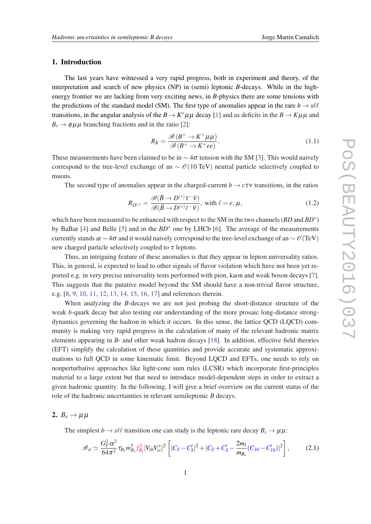### <span id="page-1-0"></span>1. Introduction

The last years have witnessed a very rapid progress, both in experiment and theory, of the interpretation and search of new physics (NP) in (semi) leptonic *B*-decays. While in the highenergy frontier we are lacking from very exciting news, in *B*-physics there are some tensions with the predictions of the standard model (SM). The first type of anomalies appear in the rare  $b \rightarrow s\ell\ell$ transitions, in the angular analysis of the  $B \to K^* \mu \mu$  decay [[1](#page-7-0)] and as deficits in the  $B \to K \mu \mu$  and  $B_s \rightarrow \phi \mu \mu$  branching fractions and in the ratio [\[2\]](#page-7-0):

$$
R_K = \frac{\mathcal{B}(B^+ \to K^+ \mu \mu)}{\mathcal{B}(B^+ \to K^+ ee)}.
$$
\n(1.1)

These measurements have been claimed to be in  $\sim$  4 $\sigma$  tension with the SM [[3](#page-7-0)]. This would naively correspond to the tree-level exchange of an  $\sim \mathcal{O}(10 \text{ TeV})$  neutral particle selectively coupled to muons.

The second type of anomalies appear in the charged-current  $b \to c\tau v$  transitions, in the ratios

$$
R_{D^{(*)}} = \frac{\mathcal{B}(\bar{B} \to D^{(*)}\tau^{-}\bar{\nu})}{\mathcal{B}(\bar{B} \to D^{(*)}\ell^{-}\bar{\nu})}, \text{ with } \ell = e, \mu,
$$
\n(1.2)

which have been measured to be enhanced with respect to the SM in the two channels (*BD* and *BD*<sup>\*</sup>) by BaBar [[4](#page-7-0)] and Belle [[5\]](#page-7-0) and in the *BD*<sup>∗</sup> one by LHCb [\[6\]](#page-7-0). The average of the measurements currently stands at  $\sim$  4 $\sigma$  and it would naively correspond to the tree-level exchange of an  $\sim \mathcal{O}(TeV)$ new charged particle selectively coupled to  $\tau$  leptons.

Thus, an intriguing feature of these anomalies is that they appear in lepton universality ratios. This, in general, is expected to lead to other signals of flavor violation which have not been yet reported e.g. in very precise universality tests performed with pion, kaon and weak boson decays [\[7\]](#page-7-0). This suggests that the putative model beyond the SM should have a non-trivial flavor structure, e.g. [\[8,](#page-7-0) [9,](#page-7-0) [10](#page-7-0), [11,](#page-7-0) [12,](#page-7-0) [13](#page-7-0), [14,](#page-7-0) [15,](#page-7-0) [16](#page-7-0), [17\]](#page-7-0) and references therein.

When analyzing the *B*-decays we are not just probing the short-distance structure of the weak *b*-quark decay but also testing our understanding of the more prosaic long-distance strongdynamics governing the hadron in which it occurs. In this sense, the lattice QCD (LQCD) community is making very rapid progress in the calculation of many of the relevant hadronic matrix elements appearing in *B*- and other weak hadron decays [[18\]](#page-7-0). In addition, effective field theories (EFT) simplify the calculation of these quantities and provide accurate and systematic approximations to full QCD in some kinematic limit. Beyond LQCD and EFTs, one needs to rely on nonperturbative approaches like light-cone sum rules (LCSR) which incorporate first-principles material to a large extent but that need to introduce model-dependent steps in order to extract a given hadronic quantity. In the following, I will give a brief overview on the current status of the role of the hadronic uncertainties in relevant semileptonic *B* decays.

### 2.  $B_s \rightarrow \mu \mu$

The simplest  $b \rightarrow s\ell\ell$  transition one can study is the leptonic rare decay  $B_s \rightarrow \mu\mu$ :

$$
\mathcal{B}_{sl} \simeq \frac{G_F^2 \alpha^2}{64\pi^3} \tau_{B_s} m_{B_s}^3 f_{B_s}^2 |V_{tb} V_{ts}^*|^2 \left[ |C_S - C_S'|^2 + |C_S + C_S' - \frac{2m_l}{m_{B_s}} (C_{10} - C_{10}')|^2 \right],\tag{2.1}
$$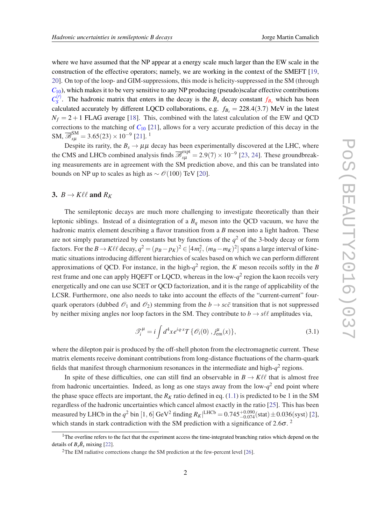<span id="page-2-0"></span>where we have assumed that the NP appear at a energy scale much larger than the EW scale in the construction of the effective operators; namely, we are working in the context of the SMEFT [\[19](#page-7-0), [20](#page-7-0)]. On top of the loop- and GIM-suppressions, this mode is helicity-suppressed in the SM (through  $C_{10}$ ), which makes it to be very sensitive to any NP producing (pseudo)scalar effective contributions  $C_S^{(\prime)}$  $S^{\prime}$ . The hadronic matrix that enters in the decay is the *B<sub>s</sub>* decay constant  $f_{B_s}$  which has been calculated accurately by different LQCD collaborations, e.g.  $f_{B_s} = 228.4(3.7)$  MeV in the latest  $N_f = 2 + 1$  FLAG average [[18\]](#page-7-0). This, combined with the latest calculation of the EW and QCD corrections to the matching of  $C_{10}$  [\[21](#page-8-0)], allows for a very accurate prediction of this decay in the SM,  $\overline{\mathcal{B}}_{s\mu}^{\text{SM}} = 3.65(23) \times 10^{-9}$  [\[21](#page-8-0)].<sup>1</sup>

Despite its rarity, the  $B_s \to \mu\mu$  decay has been experimentally discovered at the LHC, where the CMS and LHCb combined analysis finds  $\overline{\mathcal{B}}_{s\mu}^{\text{expt}} = 2.9(7) \times 10^{-9}$  [\[23,](#page-8-0) [24](#page-8-0)]. These groundbreaking measurements are in agreement with the SM prediction above, and this can be translated into bounds on NP up to scales as high as  $\sim \mathcal{O}(100)$  TeV [[20\]](#page-7-0).

### 3.  $B \to K\ell\ell$  and  $R_K$

The semileptonic decays are much more challenging to investigate theoretically than their leptonic siblings. Instead of a disintegration of a *B<sup>q</sup>* meson into the QCD vacuum, we have the hadronic matrix element describing a flavor transition from a *B* meson into a light hadron. These are not simply parametrized by constants but by functions of the  $q<sup>2</sup>$  of the 3-body decay or form factors. For the  $B \to K\ell\ell$  decay,  $q^2 = (p_B - p_K)^2 \in [4m_\ell^2, (m_B - m_K)^2]$  spans a large interval of kinematic situations introducing different hierarchies of scales based on which we can perform different approximations of QCD. For instance, in the high- $q^2$  region, the *K* meson recoils softly in the *B* rest frame and one can apply HQEFT or LQCD, whereas in the low- $q^2$  region the kaon recoils very energetically and one can use SCET or QCD factorization, and it is the range of applicability of the LCSR. Furthermore, one also needs to take into account the effects of the "current-current" fourquark operators (dubbed  $\mathcal{O}_1$  and  $\mathcal{O}_2$ ) stemming from the  $b \to sc\bar{c}$  transition that is not suppressed by neither mixing angles nor loop factors in the SM. They contribute to  $b \rightarrow s \ell \ell$  amplitudes via,

$$
\mathcal{T}_i^{\mu} = i \int d^4x e^{iq \cdot x} T \{ \mathcal{O}_i(0) , j_{\rm em}^{\mu}(x) \}, \qquad (3.1)
$$

where the dilepton pair is produced by the off-shell photon from the electromagnetic current. These matrix elements receive dominant contributions from long-distance fluctuations of the charm-quark fields that manifest through charmonium resonances in the intermediate and high- $q^2$  regions.

In spite of these difficulties, one can still find an observable in  $B \to K\ell\ell$  that is almost free from hadronic uncertainties. Indeed, as long as one stays away from the low- $q^2$  end point where the phase space effects are important, the  $R_K$  ratio defined in eq. ([1.1](#page-1-0)) is predicted to be 1 in the SM regardless of the hadronic uncertainties which cancel almost exactly in the ratio [\[25](#page-8-0)]. This has been measured by LHCb in the  $q^2$  bin [1, 6] GeV<sup>2</sup> finding  $R_K$  |<sup>LHCb</sup> = 0.745<sup>+0.090</sup>(stat) ± 0.036(syst) [\[2\]](#page-7-0), which stands in stark contradiction with the SM prediction with a significance of  $2.6\sigma$ .

<sup>&</sup>lt;sup>1</sup>The overline refers to the fact that the experiment access the time-integrated branching ratios which depend on the details of  $B_s\bar{B}_s$  mixing [[22\]](#page-8-0).

<sup>&</sup>lt;sup>2</sup>The EM radiative corrections change the SM prediction at the few-percent level [[26\]](#page-8-0).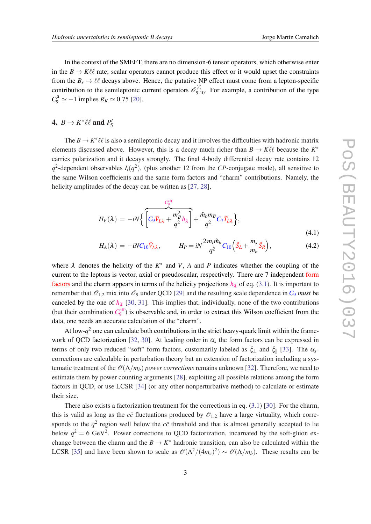In the context of the SMEFT, there are no dimension-6 tensor operators, which otherwise enter in the  $B \to K\ell\ell$  rate; scalar operators cannot produce this effect or it would upset the constraints from the  $B_s \to \ell \ell$  decays above. Hence, the putative NP effect must come from a lepton-specific contribution to the semileptonic current operators  $\mathcal{O}_{9,10}^{(\prime)}$ . For example, a contribution of the type  $C_9^{\mu} \simeq -1$  implies  $R_K \simeq 0.75$  [\[20\]](#page-7-0).

#### 4.  $B \to K^* \ell \ell$  and  $P'_5$ 5

The  $B \to K^* \ell \ell$  is also a semileptonic decay and it involves the difficulties with hadronic matrix elements discussed above. However, this is a decay much richer than  $B \to K\ell\ell$  because the  $K^*$ carries polarization and it decays strongly. The final 4-body differential decay rate contains 12  $q^2$ -dependent observables  $I_i(q^2)$ , (plus another 12 from the *CP*-conjugate mode), all sensitive to the same Wilson coefficients and the same form factors and "charm" contributions. Namely, the helicity amplitudes of the decay can be written as [\[27](#page-8-0), [28\]](#page-8-0),

$$
H_V(\lambda) = -iN \left\{ \overbrace{\left[ C_9 \tilde{V}_{L\lambda} + \frac{m_B^2}{q^2} h_\lambda \right]}^{C_9^{\text{eff}}} + \frac{\hat{m}_b m_B}{q^2} C_7 \tilde{T}_{L\lambda} \right\},
$$
\n(4.1)

$$
H_A(\lambda) = -iNC_{10}\tilde{V}_{L\lambda}, \qquad H_P = iN\frac{2m_l\hat{m}_b}{q^2}C_{10}\Big(\tilde{S}_L + \frac{m_s}{m_b}\tilde{S}_R\Big), \tag{4.2}
$$

where  $\lambda$  denotes the helicity of the  $K^*$  and  $V$ ,  $A$  and  $P$  indicates whether the coupling of the current to the leptons is vector, axial or pseudoscalar, respectively. There are 7 independent form factors and the charm appears in terms of the helicity projections  $h<sub>2</sub>$  of eq. [\(3.1\)](#page-2-0). It is important to remember that  $\mathcal{O}_{1,2}$  mix into  $\mathcal{O}_9$  under QCD [\[29](#page-8-0)] and the resulting scale dependence in  $C_9$  *must* be canceled by the one of  $h_{\lambda}$  [[30,](#page-8-0) [31\]](#page-8-0). This implies that, individually, none of the two contributions (but their combination  $C_9^{\text{eff}}$ ) is observable and, in order to extract this Wilson coefficient from the data, one needs an accurate calculation of the "charm".

At low- $q^2$  one can calculate both contributions in the strict heavy-quark limit within the frame-work of QCD factorization [[32,](#page-8-0) [30\]](#page-8-0). At leading order in  $\alpha_s$  the form factors can be expressed in terms of only two reduced "soft" form factors, customarily labeled as  $\xi_{\perp}$  and  $\xi_{\parallel}$  [\[33](#page-8-0)]. The  $\alpha_s$ corrections are calculable in perturbation theory but an extension of factorization including a systematic treatment of the  $\mathcal{O}(\Lambda/m_b)$  *power corrections* remains unknown [\[32\]](#page-8-0). Therefore, we need to estimate them by power counting arguments [[28\]](#page-8-0), exploiting all possible relations among the form factors in QCD, or use LCSR [[34\]](#page-8-0) (or any other nonperturbative method) to calculate or estimate their size.

There also exists a factorization treatment for the corrections in eq. [\(3.1\)](#page-2-0) [[30\]](#page-8-0). For the charm, this is valid as long as the  $c\bar{c}$  fluctuations produced by  $\mathcal{O}_{1,2}$  have a large virtuality, which corresponds to the  $q^2$  region well below the  $c\bar{c}$  threshold and that is almost generally accepted to lie below  $q^2 = 6$  GeV<sup>2</sup>. Power corrections to QCD factorization, incarnated by the soft-gluon exchange between the charm and the  $B \to K^*$  hadronic transition, can also be calculated within the LCSR [\[35](#page-8-0)] and have been shown to scale as  $\mathcal{O}(\Lambda^2/(4m_c)^2) \sim \mathcal{O}(\Lambda/m_b)$ . These results can be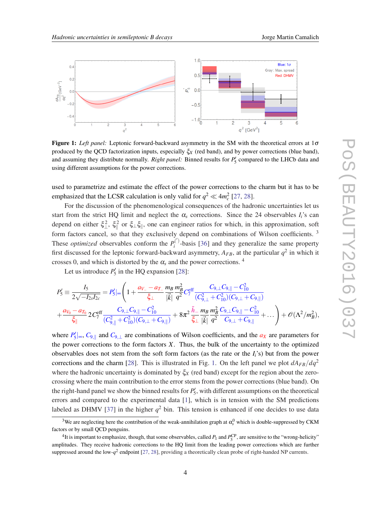

Figure 1: *Left panel:* Leptonic forward-backward asymmetry in the SM with the theoretical errors at 1σ produced by the QCD factorization inputs, especially ξ*<sup>X</sup>* (red band), and by power corrections (blue band), and assuming they distribute normally. *Right panel:* Binned results for  $P'_5$  compared to the LHCb data and using different assumptions for the power corrections.

used to parametrize and estimate the effect of the power corrections to the charm but it has to be emphasized that the LCSR calculation is only valid for  $q^2 \ll 4m_c^2$  [\[27,](#page-8-0) [28](#page-8-0)].

For the discussion of the phenomenological consequences of the hadronic uncertainties let us start from the strict HQ limit and neglect the  $\alpha_s$  corrections. Since the 24 observables  $I_i$ 's can depend on either  $\xi_{\perp}^2$ ,  $\xi_{\parallel}^2$  or  $\xi_{\perp}\xi_{\parallel}$ , one can engineer ratios for which, in this approximation, soft form factors cancel, so that they exclusively depend on combinations of Wilson coefficients.<sup>3</sup> These *optimized* observables conform the  $P_i^{(')}$  $\mathbf{a}^{\prime}$ <sup>1</sup>-basis [[36\]](#page-8-0) and they generalize the same property first discussed for the leptonic forward-backward asymmetry,  $A_{FB}$ , at the particular  $q^2$  in which it crosses 0, and which is distorted by the  $\alpha_s$  and the power corrections. <sup>4</sup>

Let us introduce  $P'_5$  in the HQ expansion [[28\]](#page-8-0):

$$
P_5' \equiv \frac{I_5}{2\sqrt{-I_{2s}I_{2c}}} = P_5' \rvert_{\infty} \left( 1 + \frac{a_{V_-} - a_{T_-}}{\xi_{\perp}} \frac{m_B}{|\vec{k}|} \frac{m_B^2}{q^2} C_7^{\text{eff}} \frac{C_{9,\perp} C_{9,\parallel} - C_{10}^2}{(C_{9,\perp}^2 + C_{10}^2)(C_{9,\perp} + C_{9,\parallel})} \right. \\ \left. + \frac{a_{V_0} - a_{T_0}}{\xi_{\parallel}} 2 C_7^{\text{eff}} \frac{C_{9,\perp} C_{9,\parallel} - C_{10}^2}{(C_{9,\parallel}^2 + C_{10}^2)(C_{9,\perp} + C_{9,\parallel})} + 8 \pi^2 \frac{\tilde{h}_-}{\xi_{\perp}} \frac{m_B}{|\vec{k}|} \frac{m_B^2}{q^2} \frac{C_{9,\perp} C_{9,\parallel} - C_{10}^2}{C_{9,\perp} + C_{9,\parallel}} + \dots \right) + \mathcal{O}(\Lambda^2 / m_B^2),
$$

where  $P_5' \sim C_{9,||}$  and  $C_{9, \perp}$  are combinations of Wilson coefficients, and the  $a_X$  are parameters for the power corrections to the form factors *X*. Thus, the bulk of the uncertainty to the optimized observables does not stem from the soft form factors (as the rate or the *Ii*'s) but from the power corrections and the charm [[28\]](#page-8-0). This is illustrated in Fig. 1. On the left panel we plot  $dA_{FB}/dq^2$ where the hadronic uncertainty is dominated by  $\xi_X$  (red band) except for the region about the zerocrossing where the main contribution to the error stems from the power corrections (blue band). On the right-hand panel we show the binned results for  $P'_5$ , with different assumptions on the theoretical errors and compared to the experimental data [\[1\]](#page-7-0), which is in tension with the SM predictions labeled as DHMV [\[37](#page-8-0)] in the higher  $q^2$  bin. This tension is enhanced if one decides to use data

<sup>&</sup>lt;sup>3</sup>We are neglecting here the contribution of the weak-annihilation graph at  $\alpha_s^0$  which is double-suppressed by CKM factors or by small QCD penguins.

<sup>&</sup>lt;sup>4</sup>It is important to emphasize, though, that some observables, called  $P_1$  and  $P_3^{\rm CP}$ , are sensitive to the "wrong-helicity" amplitudes. They receive hadronic corrections to the HQ limit from the leading power corrections which are further suppressed around the low- $q^2$  endpoint [[27,](#page-8-0) [28](#page-8-0)], providing a theoretically clean probe of right-handed NP currents.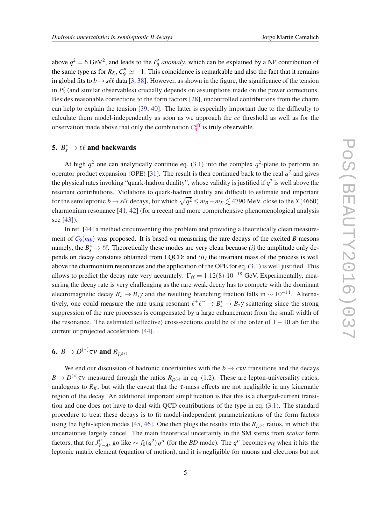above  $q^2 = 6 \text{ GeV}^2$ , and leads to the  $P'_5$  *anomaly*, which can be explained by a NP contribution of the same type as for  $R_K$ ,  $C_9^{\mu} \simeq -1$ . This coincidence is remarkable and also the fact that it remains in global fits to  $b \rightarrow s\ell\ell$  data [[3](#page-7-0), [38](#page-8-0)]. However, as shown in the figure, the significance of the tension in  $P'_5$  (and similar observables) crucially depends on assumptions made on the power corrections. Besides reasonable corrections to the form factors [\[28](#page-8-0)], uncontrolled contributions from the charm can help to explain the tension [\[39](#page-8-0), [40](#page-9-0)]. The latter is especially important due to the difficulty to calculate them model-independently as soon as we approach the  $c\bar{c}$  threshold as well as for the observation made above that only the combination  $C_9^{\text{eff}}$  is truly observable.

### 5.  $B_s^* \to \ell \ell$  and backwards

At high  $q^2$  one can analytically continue eq. ([3.1](#page-2-0)) into the complex  $q^2$ -plane to perform an operator product expansion (OPE) [\[31](#page-8-0)]. The result is then continued back to the real  $q^2$  and gives the physical rates invoking "quark-hadron duality", whose validity is justified if  $q^2$  is well above the resonant contributions. Violations to quark-hadron duality are difficult to estimate and important for the semileptonic  $b \to s\ell\ell$  decays, for which  $\sqrt{q^2} \le m_B - m_K \lesssim 4790$  MeV, close to the *X*(4660) charmonium resonance [\[41](#page-9-0), [42\]](#page-9-0) (for a recent and more comprehensive phenomenological analysis see [[43\]](#page-9-0)).

In ref. [\[44](#page-9-0)] a method circumventing this problem and providing a theoretically clean measurement of  $C_9(m_b)$  was proposed. It is based on measuring the rare decays of the excited *B* mesons namely, the  $B_s^* \to \ell \ell$ . Theoretically these modes are very clean because *(i)* the amplitude only depends on decay constants obtained from LQCD; and *(ii)* the invariant mass of the process is well above the charmonium resonances and the application of the OPE for eq. ([3.1](#page-2-0)) is well justified. This allows to predict the decay rate very accurately:  $\Gamma_{\ell\ell} = 1.12(8) 10^{-18}$  GeV. Experimentally, measuring the decay rate is very challenging as the rare weak decay has to compete with the dominant electromagnetic decay  $B_s^* \to B_s \gamma$  and the resulting branching fraction falls in  $\sim 10^{-11}$ . Alternatively, one could measure the rate using resonant  $\ell^+ \ell^- \to B_s^* \to B_s \gamma$  scattering since the strong suppression of the rare processes is compensated by a large enhancement from the small width of the resonance. The estimated (effective) cross-sections could be of the order of 1 − 10 ab for the current or projected accelerators [[44](#page-9-0)].

## 6.  $B \to D^{(*)} \tau \nu$  and  $R_{D^{(*)}}$

We end our discussion of hadronic uncertainties with the  $b \to c\tau v$  transitions and the decays  $B \to D^{(*)}\tau v$  measured through the ratios  $R_{D^{(*)}}$  in eq. [\(1.2](#page-1-0)). These are lepton-universality ratios, analogous to  $R_K$ , but with the caveat that the  $\tau$ -mass effects are not negligible in any kinematic region of the decay. An additional important simplification is that this is a charged-current transition and one does not have to deal with QCD contributions of the type in eq. [\(3.1\)](#page-2-0). The standard procedure to treat these decays is to fit model-independent parametrizations of the form factors using the light-lepton modes [[45](#page-9-0), [46\]](#page-9-0). One then plugs the results into the  $R_{D(*)}$  ratios, in which the uncertainties largely cancel. The main theoretical uncertainty in the SM stems from *scalar* form factors, that for  $J_{V-A}^{\mu}$ , go like  $\sim f_0(q^2)q^{\mu}$  (for the *BD* mode). The  $q^{\mu}$  becomes  $m_{\ell}$  when it hits the leptonic matrix element (equation of motion), and it is negligible for muons and electrons but not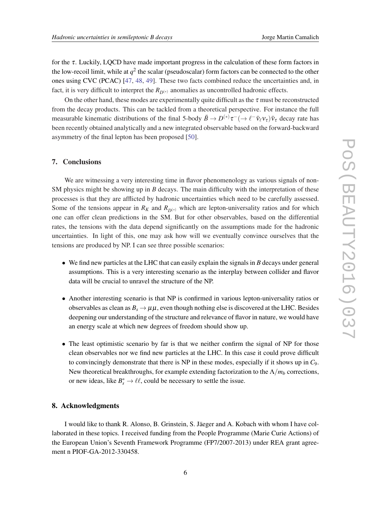for the  $\tau$ . Luckily, LQCD have made important progress in the calculation of these form factors in the low-recoil limit, while at  $q^2$  the scalar (pseudoscalar) form factors can be connected to the other ones using CVC (PCAC) [[47,](#page-9-0) [48](#page-9-0), [49](#page-9-0)]. These two facts combined reduce the uncertainties and, in fact, it is very difficult to interpret the  $R_{D(*)}$  anomalies as uncontrolled hadronic effects.

On the other hand, these modes are experimentally quite difficult as the  $\tau$  must be reconstructed from the decay products. This can be tackled from a theoretical perspective. For instance the full measurable kinematic distributions of the final 5-body  $\bar{B}\to D^{(*)}\tau^-(\to \ell^-\bar{\nu}_\ell v_\tau)\bar{v}_\tau$  decay rate has been recently obtained analytically and a new integrated observable based on the forward-backward asymmetry of the final lepton has been proposed [\[50](#page-9-0)].

### 7. Conclusions

We are witnessing a very interesting time in flavor phenomenology as various signals of non-SM physics might be showing up in *B* decays. The main difficulty with the interpretation of these processes is that they are afflicted by hadronic uncertainties which need to be carefully assessed. Some of the tensions appear in  $R_K$  and  $R_{D(*)}$  which are lepton-universality ratios and for which one can offer clean predictions in the SM. But for other observables, based on the differential rates, the tensions with the data depend significantly on the assumptions made for the hadronic uncertainties. In light of this, one may ask how will we eventually convince ourselves that the tensions are produced by NP. I can see three possible scenarios:

- We find new particles at the LHC that can easily explain the signals in *B* decays under general assumptions. This is a very interesting scenario as the interplay between collider and flavor data will be crucial to unravel the structure of the NP.
- Another interesting scenario is that NP is confirmed in various lepton-universality ratios or observables as clean as  $B_s \to \mu\mu$ , even though nothing else is discovered at the LHC. Besides deepening our understanding of the structure and relevance of flavor in nature, we would have an energy scale at which new degrees of freedom should show up.
- The least optimistic scenario by far is that we neither confirm the signal of NP for those clean observables nor we find new particles at the LHC. In this case it could prove difficult to convincingly demonstrate that there is NP in these modes, especially if it shows up in *C*9. New theoretical breakthroughs, for example extending factorization to the  $\Lambda/m_b$  corrections, or new ideas, like  $B_s^* \to \ell \ell$ , could be necessary to settle the issue.

### 8. Acknowledgments

I would like to thank R. Alonso, B. Grinstein, S. Jäeger and A. Kobach with whom I have collaborated in these topics. I received funding from the People Programme (Marie Curie Actions) of the European Union's Seventh Framework Programme (FP7/2007-2013) under REA grant agreement n PIOF-GA-2012-330458.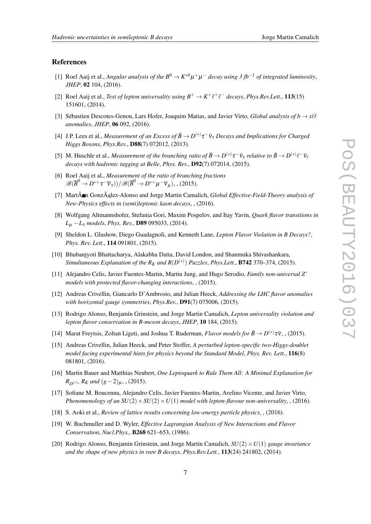### <span id="page-7-0"></span>References

- [1] Roel Aaij et al., *Angular analysis of the*  $B^0 \to K^{*0} \mu^+ \mu^-$  *decay using 3* fb<sup>-1</sup> *of integrated luminosity*, *JHEP*, 02 104, (2016).
- [2] Roel Aaij et al., *Test of lepton universality using*  $B^+ \to K^+ \ell^+ \ell^-$  *decays, Phys.Rev.Lett.*, 113(15) 151601, (2014).
- [3] Sébastien Descotes-Genon, Lars Hofer, Joaquim Matias, and Javier Virto, *Global analysis of b*  $\rightarrow$  *s* $\ell\ell$ *anomalies*, *JHEP*, 06 092, (2016).
- [4] J.P. Lees et al., *Measurement of an Excess of*  $\bar{B} \to D^{(*)} \tau^- \bar{\nu}_{\tau}$  *Decays and Implications for Charged Higgs Bosons*, *Phys.Rev.*, D88(7) 072012, (2013).
- [5] M. Huschle et al., *Measurement of the branching ratio of*  $\bar{B}\to D^{(*)}\tau^-\bar{\nu}_{\tau}$  *relative to*  $\bar{B}\to D^{(*)}\ell^-\bar{\nu}_{\ell}$ *decays with hadronic tagging at Belle*, *Phys. Rev.*, D92(7) 072014, (2015).
- [6] Roel Aaij et al., *Measurement of the ratio of branching fractions*  $\mathscr{B}(\overline{B}^0\to D^{*+}\tau^-\overline{v}_\tau))/\mathscr{B}(\overline{B}^0\to D^{*+}\mu^-\overline{v}_\mu)$ , , (2015).
- [7] MartÃ n Gonzà ˛alez-Alonso and Jorge Martin Camalich, *Global Effective-Field-Theory analysis of New-Physics effects in (semi)leptonic kaon decays*, , (2016).
- [8] Wolfgang Altmannshofer, Stefania Gori, Maxim Pospelov, and Itay Yavin, *Quark flavor transitions in L*<sup>µ</sup> −*L*<sup>τ</sup> *models*, *Phys. Rev.*, D89 095033, (2014).
- [9] Sheldon L. Glashow, Diego Guadagnoli, and Kenneth Lane, *Lepton Flavor Violation in B Decays?*, *Phys. Rev. Lett.*, 114 091801, (2015).
- [10] Bhubanjyoti Bhattacharya, Alakabha Datta, David London, and Shanmuka Shivashankara, *Simultaneous Explanation of the R<sub>K</sub> and R*( $D^{(*)}$ ) *Puzzles, Phys.Lett.,* **B742** 370–374, (2015).
- [11] Alejandro Celis, Javier Fuentes-Martin, Martin Jung, and Hugo Serodio, *Family non-universal Z' models with protected flavor-changing interactions*, , (2015).
- [12] Andreas Crivellin, Giancarlo D'Ambrosio, and Julian Heeck, *Addressing the LHC flavor anomalies with horizontal gauge symmetries*, *Phys.Rev.*, D91(7) 075006, (2015).
- [13] Rodrigo Alonso, Benjamín Grinstein, and Jorge Martin Camalich, *Lepton universality violation and lepton flavor conservation in B-meson decays*, *JHEP*, 10 184, (2015).
- [14] Marat Freytsis, Zoltan Ligeti, and Joshua T. Ruderman, *Flavor models for*  $\bar{B} \to D^{(*)} \tau \bar{\nu}$ , , (2015).
- [15] Andreas Crivellin, Julian Heeck, and Peter Stoffer, *A perturbed lepton-specific two-Higgs-doublet model facing experimental hints for physics beyond the Standard Model*, *Phys. Rev. Lett.*, 116(8) 081801, (2016).
- [16] Martin Bauer and Matthias Neubert, *One Leptoquark to Rule Them All: A Minimal Explanation for*  $R_{D(*)}$ *, R<sub>K</sub> and* (*g*−2)<sub>*u*</sub>, , (2015).
- [17] Sofiane M. Boucenna, Alejandro Celis, Javier Fuentes-Martin, Avelino Vicente, and Javier Virto, *Phenomenology of an*  $SU(2) \times SU(2) \times U(1)$  *model with lepton-flavour non-universality*, , (2016).
- [18] S. Aoki et al., *Review of lattice results concerning low-energy particle physics*, , (2016).
- [19] W. Buchmuller and D. Wyler, *Effective Lagrangian Analysis of New Interactions and Flavor Conservation*, *Nucl.Phys.*, B268 621–653, (1986).
- [20] Rodrigo Alonso, Benjamin Grinstein, and Jorge Martin Camalich, *SU*(2)×*U*(1) *gauge invariance and the shape of new physics in rare B decays*, *Phys.Rev.Lett.*, 113(24) 241802, (2014).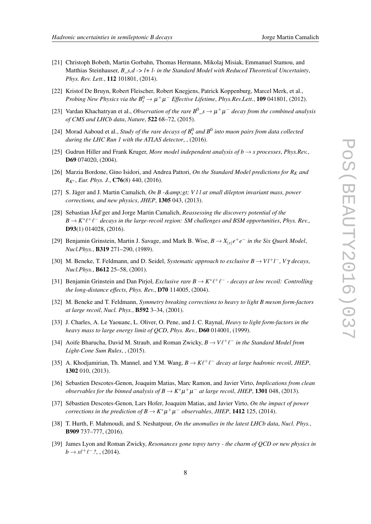- 
- <span id="page-8-0"></span>[21] Christoph Bobeth, Martin Gorbahn, Thomas Hermann, Mikolaj Misiak, Emmanuel Stamou, and Matthias Steinhauser, *B\_s,d -> l+ l- in the Standard Model with Reduced Theoretical Uncertainty*, *Phys. Rev. Lett.*, 112 101801, (2014).
- [22] Kristof De Bruyn, Robert Fleischer, Robert Knegjens, Patrick Koppenburg, Marcel Merk, et al., *Probing New Physics via the*  $B_s^0 \rightarrow \mu^+\mu^-$  *Effective Lifetime, Phys.Rev.Lett.*, **109** 041801, (2012).
- [23] Vardan Khachatryan et al., *Observation of the rare*  $B^0 \_s \to \mu^+ \mu^-$  *decay from the combined analysis of CMS and LHCb data*, *Nature*, 522 68–72, (2015).
- [24] Morad Aaboud et al., *Study of the rare decays of*  $B_s^0$  *and*  $B^0$  *into muon pairs from data collected during the LHC Run 1 with the ATLAS detector*, , (2016).
- [25] Gudrun Hiller and Frank Kruger, *More model independent analysis of b* → *s processes*, *Phys.Rev.*, D69 074020, (2004).
- [26] Marzia Bordone, Gino Isidori, and Andrea Pattori, *On the Standard Model predictions for R<sup>K</sup> and RK*<sup>∗</sup> , *Eur. Phys. J.*, C76(8) 440, (2016).
- [27] S. Jäger and J. Martin Camalich, *On B & amp; gt; V l l at small dilepton invariant mass, power corrections, and new physics*, *JHEP*, 1305 043, (2013).
- [28] Sebastian JÃd'ger and Jorge Martin Camalich, *Reassessing the discovery potential of the*  $B \to K^* \ell^+ \ell^-$  decays in the large-recoil region: SM challenges and BSM opportunities, *Phys. Rev.*, D93(1) 014028, (2016).
- [29] Benjamin Grinstein, Martin J. Savage, and Mark B. Wise,  $B \to X_{(s)}e^+e^-$  in the Six Quark Model, *Nucl.Phys.*, B319 271–290, (1989).
- [30] M. Beneke, T. Feldmann, and D. Seidel, *Systematic approach to exclusive B* → *Vl*+*l* <sup>−</sup>*, V*γ *decays*, *Nucl.Phys.*, B612 25–58, (2001).
- [31] Benjamin Grinstein and Dan Pirjol, *Exclusive rare B*  $\rightarrow$  *K*<sup>\*</sup> $\ell^+ \ell^-$   *decays at low recoil: Controlling the long-distance effects*, *Phys. Rev.*, D70 114005, (2004).
- [32] M. Beneke and T. Feldmann, *Symmetry breaking corrections to heavy to light B meson form-factors at large recoil*, *Nucl. Phys.*, B592 3–34, (2001).
- [33] J. Charles, A. Le Yaouanc, L. Oliver, O. Pene, and J. C. Raynal, *Heavy to light form-factors in the heavy mass to large energy limit of QCD*, *Phys. Rev.*, D60 014001, (1999).
- [34] Aoife Bharucha, David M. Straub, and Roman Zwicky,  $B \to V \ell^+ \ell^-$  in the Standard Model from *Light-Cone Sum Rules*, , (2015).
- [35] A. Khodjamirian, Th. Mannel, and Y.M. Wang,  $B \to K \ell^+ \ell^-$  decay at large hadronic recoil, JHEP, 1302 010, (2013).
- [36] Sebastien Descotes-Genon, Joaquim Matias, Marc Ramon, and Javier Virto, *Implications from clean observables for the binned analysis of*  $B \to K^* \mu^+ \mu^-$  *at large recoil, JHEP*, **1301** 048, (2013).
- [37] Sébastien Descotes-Genon, Lars Hofer, Joaquim Matias, and Javier Virto, *On the impact of power corrections in the prediction of*  $B \to K^* \mu^+ \mu^-$  *observables, JHEP*, **1412** 125, (2014).
- [38] T. Hurth, F. Mahmoudi, and S. Neshatpour, *On the anomalies in the latest LHCb data*, *Nucl. Phys.*, B909 737–777, (2016).
- [39] James Lyon and Roman Zwicky, *Resonances gone topsy turvy the charm of QCD or new physics in*  $b \to s\ell^+\ell^-$ ?, , (2014).